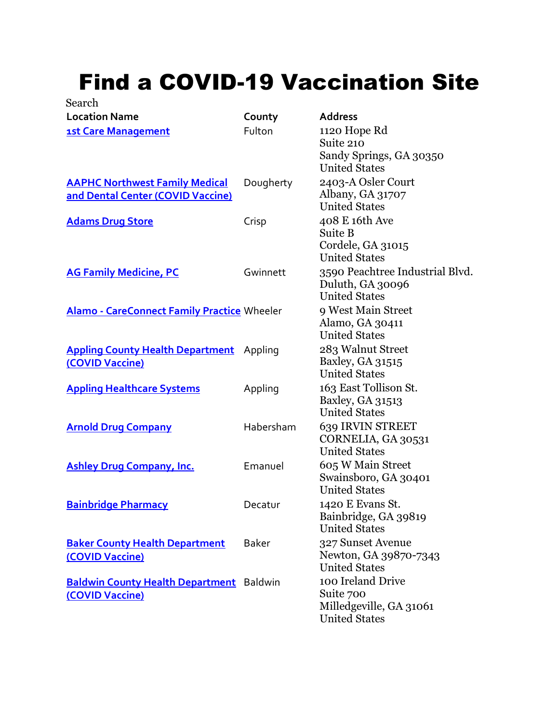## Find a COVID-19 Vaccination Site

| Search                                                                     |              |                                                                                   |
|----------------------------------------------------------------------------|--------------|-----------------------------------------------------------------------------------|
| <b>Location Name</b>                                                       | County       | <b>Address</b>                                                                    |
| <b>1st Care Management</b>                                                 | Fulton       | 1120 Hope Rd<br>Suite 210<br>Sandy Springs, GA 30350<br><b>United States</b>      |
| <b>AAPHC Northwest Family Medical</b><br>and Dental Center (COVID Vaccine) | Dougherty    | 2403-A Osler Court<br>Albany, GA 31707<br><b>United States</b>                    |
| <b>Adams Drug Store</b>                                                    | Crisp        | 408 E 16th Ave<br>Suite B<br>Cordele, GA 31015<br><b>United States</b>            |
| <b>AG Family Medicine, PC</b>                                              | Gwinnett     | 3590 Peachtree Industrial Blvd.<br>Duluth, GA 30096<br><b>United States</b>       |
| <b>Alamo - CareConnect Family Practice Wheeler</b>                         |              | 9 West Main Street<br>Alamo, GA 30411<br><b>United States</b>                     |
| <b>Appling County Health Department</b><br>(COVID Vaccine)                 | Appling      | 283 Walnut Street<br>Baxley, GA 31515<br><b>United States</b>                     |
| <b>Appling Healthcare Systems</b>                                          | Appling      | 163 East Tollison St.<br>Baxley, GA 31513<br><b>United States</b>                 |
| <b>Arnold Drug Company</b>                                                 | Habersham    | 639 IRVIN STREET<br>CORNELIA, GA 30531<br><b>United States</b>                    |
| <b>Ashley Drug Company, Inc.</b>                                           | Emanuel      | 605 W Main Street<br>Swainsboro, GA 30401<br><b>United States</b>                 |
| <b>Bainbridge Pharmacy</b>                                                 | Decatur      | 1420 E Evans St.<br>Bainbridge, GA 39819<br><b>United States</b>                  |
| <b>Baker County Health Department</b><br>(COVID Vaccine)                   | <b>Baker</b> | 327 Sunset Avenue<br>Newton, GA 39870-7343<br><b>United States</b>                |
| <b>Baldwin County Health Department</b> Baldwin<br>(COVID Vaccine)         |              | 100 Ireland Drive<br>Suite 700<br>Milledgeville, GA 31061<br><b>United States</b> |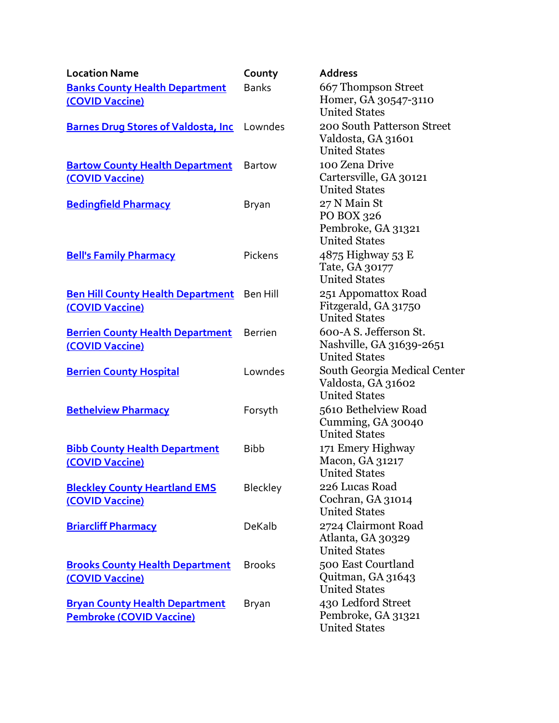| <b>Location Name</b>                                                     | County         | <b>Address</b>                                                             |
|--------------------------------------------------------------------------|----------------|----------------------------------------------------------------------------|
| <b>Banks County Health Department</b>                                    | <b>Banks</b>   | 667 Thompson Street                                                        |
| (COVID Vaccine)                                                          |                | Homer, GA 30547-3110<br><b>United States</b>                               |
| <b>Barnes Drug Stores of Valdosta, Inc</b> Lowndes                       |                | 200 South Patterson Street<br>Valdosta, GA 31601<br><b>United States</b>   |
| <b>Bartow County Health Department</b><br>(COVID Vaccine)                | <b>Bartow</b>  | 100 Zena Drive<br>Cartersville, GA 30121<br><b>United States</b>           |
| <b>Bedingfield Pharmacy</b>                                              | Bryan          | 27 N Main St<br>PO BOX 326<br>Pembroke, GA 31321<br><b>United States</b>   |
| <b>Bell's Family Pharmacy</b>                                            | Pickens        | 4875 Highway 53 E<br>Tate, GA 30177<br><b>United States</b>                |
| Ben Hill County Health Department Ben Hill<br>(COVID Vaccine)            |                | 251 Appomattox Road<br>Fitzgerald, GA 31750<br><b>United States</b>        |
| <b>Berrien County Health Department</b><br>(COVID Vaccine)               | <b>Berrien</b> | 600-A S. Jefferson St.<br>Nashville, GA 31639-2651<br><b>United States</b> |
| <b>Berrien County Hospital</b>                                           | Lowndes        | South Georgia Medical Center<br>Valdosta, GA 31602<br><b>United States</b> |
| <b>Bethelview Pharmacy</b>                                               | Forsyth        | 5610 Bethelview Road<br>Cumming, GA 30040<br><b>United States</b>          |
| <b>Bibb County Health Department</b><br>(COVID Vaccine)                  | <b>Bibb</b>    | 171 Emery Highway<br>Macon, GA 31217<br><b>United States</b>               |
| <b>Bleckley County Heartland EMS</b><br>(COVID Vaccine)                  | Bleckley       | 226 Lucas Road<br>Cochran, GA 31014<br><b>United States</b>                |
| <b>Briarcliff Pharmacy</b>                                               | DeKalb         | 2724 Clairmont Road<br>Atlanta, GA 30329<br><b>United States</b>           |
| <b>Brooks County Health Department</b><br>(COVID Vaccine)                | <b>Brooks</b>  | 500 East Courtland<br>Quitman, GA 31643<br><b>United States</b>            |
| <b>Bryan County Health Department</b><br><b>Pembroke (COVID Vaccine)</b> | Bryan          | 430 Ledford Street<br>Pembroke, GA 31321<br><b>United States</b>           |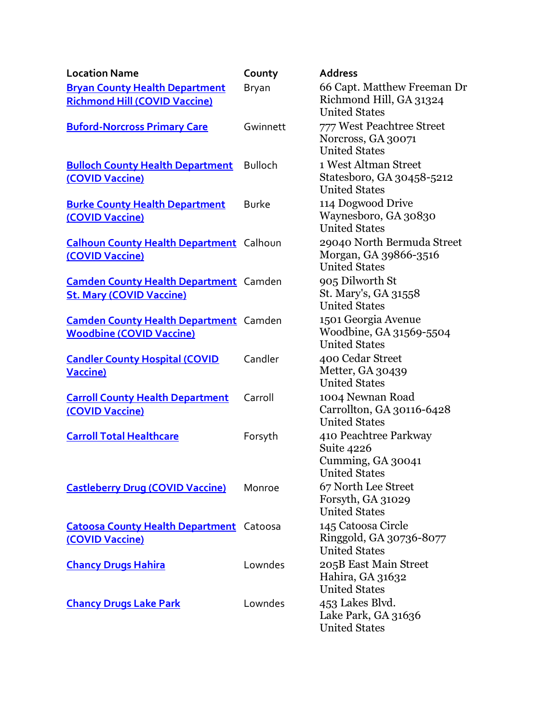| <b>Location Name</b>                                                             | County         | <b>Address</b>                                                                   |
|----------------------------------------------------------------------------------|----------------|----------------------------------------------------------------------------------|
| <b>Bryan County Health Department</b><br><b>Richmond Hill (COVID Vaccine)</b>    | Bryan          | 66 Capt. Matthew Freeman Dr<br>Richmond Hill, GA 31324<br><b>United States</b>   |
| <b>Buford-Norcross Primary Care</b>                                              | Gwinnett       | 777 West Peachtree Street<br>Norcross, GA 30071<br><b>United States</b>          |
| <b>Bulloch County Health Department</b><br>(COVID Vaccine)                       | <b>Bulloch</b> | 1 West Altman Street<br>Statesboro, GA 30458-5212<br><b>United States</b>        |
| <b>Burke County Health Department</b><br>(COVID Vaccine)                         | <b>Burke</b>   | 114 Dogwood Drive<br>Waynesboro, GA 30830<br><b>United States</b>                |
| <b>Calhoun County Health Department</b> Calhoun<br>(COVID Vaccine)               |                | 29040 North Bermuda Street<br>Morgan, GA 39866-3516<br><b>United States</b>      |
| <b>Camden County Health Department</b> Camden<br><b>St. Mary (COVID Vaccine)</b> |                | 905 Dilworth St<br>St. Mary's, GA 31558<br><b>United States</b>                  |
| <b>Camden County Health Department</b> Camden<br><b>Woodbine (COVID Vaccine)</b> |                | 1501 Georgia Avenue<br>Woodbine, GA 31569-5504<br><b>United States</b>           |
| <b>Candler County Hospital (COVID</b><br><b>Vaccine)</b>                         | Candler        | 400 Cedar Street<br>Metter, GA 30439<br><b>United States</b>                     |
| <b>Carroll County Health Department</b><br>(COVID Vaccine)                       | Carroll        | 1004 Newnan Road<br>Carrollton, GA 30116-6428<br><b>United States</b>            |
| <b>Carroll Total Healthcare</b>                                                  | Forsyth        | 410 Peachtree Parkway<br>Suite 4226<br>Cumming, GA 30041<br><b>United States</b> |
| <b>Castleberry Drug (COVID Vaccine)</b>                                          | Monroe         | 67 North Lee Street<br>Forsyth, GA 31029<br><b>United States</b>                 |
| <b>Catoosa County Health Department</b> Catoosa<br>(COVID Vaccine)               |                | 145 Catoosa Circle<br>Ringgold, GA 30736-8077<br><b>United States</b>            |
| <b>Chancy Drugs Hahira</b>                                                       | Lowndes        | 205B East Main Street<br>Hahira, GA 31632<br><b>United States</b>                |
| <b>Chancy Drugs Lake Park</b>                                                    | Lowndes        | 453 Lakes Blvd.<br>Lake Park, GA 31636<br><b>United States</b>                   |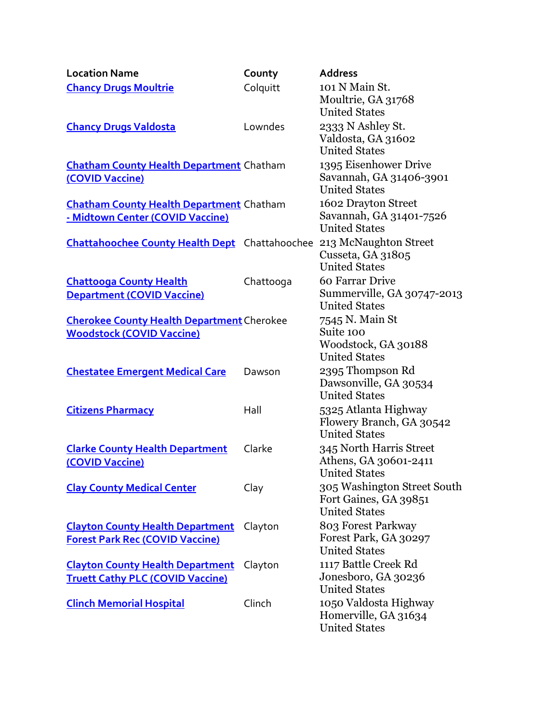| <b>Location Name</b>                                               | County    | <b>Address</b>                                                               |
|--------------------------------------------------------------------|-----------|------------------------------------------------------------------------------|
| <b>Chancy Drugs Moultrie</b>                                       | Colquitt  | 101 N Main St.<br>Moultrie, GA 31768<br><b>United States</b>                 |
| <b>Chancy Drugs Valdosta</b>                                       | Lowndes   | 2333 N Ashley St.<br>Valdosta, GA 31602<br><b>United States</b>              |
| <b>Chatham County Health Department Chatham</b><br>(COVID Vaccine) |           | 1395 Eisenhower Drive<br>Savannah, GA 31406-3901<br><b>United States</b>     |
| <b>Chatham County Health Department Chatham</b>                    |           | 1602 Drayton Street                                                          |
| - Midtown Center (COVID Vaccine)                                   |           | Savannah, GA 31401-7526<br><b>United States</b>                              |
| <b>Chattahoochee County Health Dept</b> Chattahoochee              |           | 213 McNaughton Street<br>Cusseta, GA 31805<br><b>United States</b>           |
| <b>Chattooga County Health</b>                                     | Chattooga | 60 Farrar Drive                                                              |
| <b>Department (COVID Vaccine)</b>                                  |           | Summerville, GA 30747-2013<br><b>United States</b>                           |
| <b>Cherokee County Health Department Cherokee</b>                  |           | 7545 N. Main St                                                              |
| <b>Woodstock (COVID Vaccine)</b>                                   |           | Suite 100                                                                    |
|                                                                    |           | Woodstock, GA 30188<br><b>United States</b>                                  |
| <b>Chestatee Emergent Medical Care</b>                             | Dawson    | 2395 Thompson Rd<br>Dawsonville, GA 30534<br><b>United States</b>            |
| <b>Citizens Pharmacy</b>                                           | Hall      | 5325 Atlanta Highway<br>Flowery Branch, GA 30542<br><b>United States</b>     |
| <b>Clarke County Health Department</b><br>(COVID Vaccine)          | Clarke    | 345 North Harris Street<br>Athens, GA 30601-2411<br><b>United States</b>     |
| <b>Clay County Medical Center</b>                                  | Clay      | 305 Washington Street South<br>Fort Gaines, GA 39851<br><b>United States</b> |
| <b>Clayton County Health Department</b>                            | Clayton   | 803 Forest Parkway                                                           |
| <b>Forest Park Rec (COVID Vaccine)</b>                             |           | Forest Park, GA 30297                                                        |
|                                                                    |           | <b>United States</b>                                                         |
| <b>Clayton County Health Department</b>                            | Clayton   | 1117 Battle Creek Rd                                                         |
| <b>Truett Cathy PLC (COVID Vaccine)</b>                            |           | Jonesboro, GA 30236                                                          |
|                                                                    |           | <b>United States</b>                                                         |
| <b>Clinch Memorial Hospital</b>                                    | Clinch    | 1050 Valdosta Highway                                                        |
|                                                                    |           | Homerville, GA 31634<br><b>United States</b>                                 |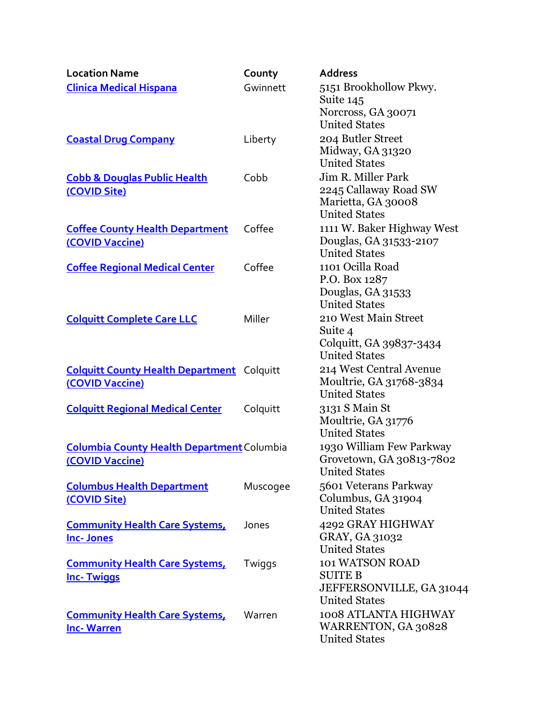| <b>Location Name</b>                                                 | County   | <b>Address</b>                                                                            |
|----------------------------------------------------------------------|----------|-------------------------------------------------------------------------------------------|
| <b>Clinica Medical Hispana</b>                                       | Gwinnett | 5151 Brookhollow Pkwy.<br>Suite 145<br>Norcross, GA 30071<br><b>United States</b>         |
| <b>Coastal Drug Company</b>                                          | Liberty  | 204 Butler Street<br>Midway, GA 31320<br><b>United States</b>                             |
| <b>Cobb &amp; Douglas Public Health</b><br>(COVID Site)              | Cobb     | Jim R. Miller Park<br>2245 Callaway Road SW<br>Marietta, GA 30008<br><b>United States</b> |
| <b>Coffee County Health Department</b><br>(COVID Vaccine)            | Coffee   | 1111 W. Baker Highway West<br>Douglas, GA 31533-2107<br><b>United States</b>              |
| <b>Coffee Regional Medical Center</b>                                | Coffee   | 1101 Ocilla Road<br>P.O. Box 1287<br>Douglas, GA 31533<br><b>United States</b>            |
| <b>Colquitt Complete Care LLC</b>                                    | Miller   | 210 West Main Street<br>Suite 4<br>Colquitt, GA 39837-3434<br><b>United States</b>        |
| <b>Colquitt County Health Department Colquitt</b><br>(COVID Vaccine) |          | 214 West Central Avenue<br>Moultrie, GA 31768-3834<br><b>United States</b>                |
| <b>Colquitt Regional Medical Center</b>                              | Colquitt | 3131 S Main St<br>Moultrie, GA 31776<br><b>United States</b>                              |
| <b>Columbia County Health Department Columbia</b><br>(COVID Vaccine) |          | 1930 William Few Parkway<br>Grovetown, GA 30813-7802<br><b>United States</b>              |
| <b>Columbus Health Department</b><br>(COVID Site)                    | Muscogee | 5601 Veterans Parkway<br>Columbus, GA 31904<br><b>United States</b>                       |
| <b>Community Health Care Systems,</b><br><b>Inc-Jones</b>            | Jones    | 4292 GRAY HIGHWAY<br>GRAY, GA 31032<br><b>United States</b>                               |
| <b>Community Health Care Systems,</b><br><b>Inc-Twiggs</b>           | Twiggs   | 101 WATSON ROAD<br><b>SUITE B</b><br>JEFFERSONVILLE, GA 31044<br><b>United States</b>     |
| <b>Community Health Care Systems,</b><br><b>Inc-Warren</b>           | Warren   | 1008 ATLANTA HIGHWAY<br>WARRENTON, GA 30828<br><b>United States</b>                       |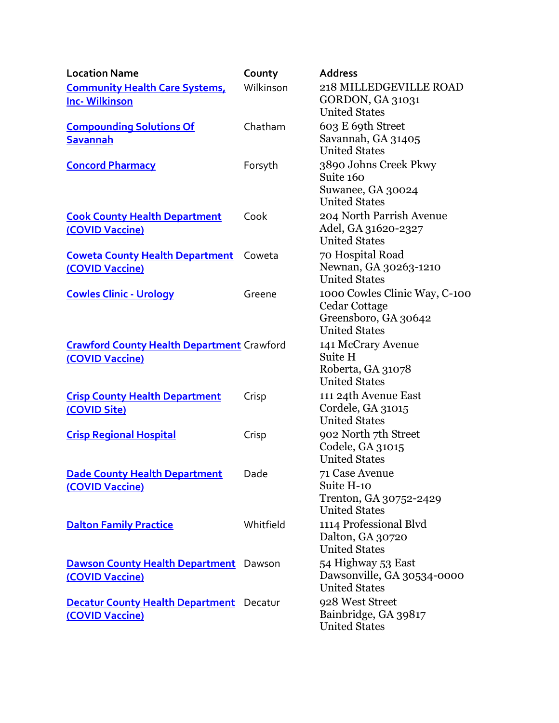| <b>Location Name</b>                                               | County    | <b>Address</b>                                     |
|--------------------------------------------------------------------|-----------|----------------------------------------------------|
| <b>Community Health Care Systems,</b>                              | Wilkinson | 218 MILLEDGEVILLE ROAD                             |
| <b>Inc-Wilkinson</b>                                               |           | <b>GORDON, GA 31031</b>                            |
|                                                                    |           | <b>United States</b>                               |
| <b>Compounding Solutions Of</b>                                    | Chatham   | 603 E 69th Street                                  |
| <b>Savannah</b>                                                    |           | Savannah, GA 31405                                 |
|                                                                    |           | <b>United States</b>                               |
| <b>Concord Pharmacy</b>                                            | Forsyth   | 3890 Johns Creek Pkwy<br>Suite 160                 |
|                                                                    |           | Suwanee, GA 30024<br><b>United States</b>          |
| <b>Cook County Health Department</b>                               | Cook      | 204 North Parrish Avenue                           |
| (COVID Vaccine)                                                    |           | Adel, GA 31620-2327                                |
|                                                                    |           | <b>United States</b>                               |
| <b>Coweta County Health Department</b>                             | Coweta    | 70 Hospital Road                                   |
| (COVID Vaccine)                                                    |           | Newnan, GA 30263-1210<br><b>United States</b>      |
| <b>Cowles Clinic - Urology</b>                                     | Greene    | 1000 Cowles Clinic Way, C-100                      |
|                                                                    |           | Cedar Cottage                                      |
|                                                                    |           | Greensboro, GA 30642<br><b>United States</b>       |
|                                                                    |           |                                                    |
| <b>Crawford County Health Department Crawford</b>                  |           | 141 McCrary Avenue<br>Suite H                      |
| (COVID Vaccine)                                                    |           | Roberta, GA 31078                                  |
|                                                                    |           | <b>United States</b>                               |
| <b>Crisp County Health Department</b>                              | Crisp     | 111 24th Avenue East                               |
| (COVID Site)                                                       |           | Cordele, GA 31015                                  |
|                                                                    |           | <b>United States</b>                               |
| <b>Crisp Regional Hospital</b>                                     | Crisp     | 902 North 7th Street                               |
|                                                                    |           | Codele, GA 31015                                   |
|                                                                    |           | <b>United States</b>                               |
| <b>Dade County Health Department</b>                               | Dade      | 71 Case Avenue                                     |
| (COVID Vaccine)                                                    |           | Suite H-10                                         |
|                                                                    |           | Trenton, GA 30752-2429                             |
|                                                                    |           | <b>United States</b>                               |
| <b>Dalton Family Practice</b>                                      | Whitfield | 1114 Professional Blvd                             |
|                                                                    |           | Dalton, GA 30720<br><b>United States</b>           |
|                                                                    |           |                                                    |
| <b>Dawson County Health Department</b> Dawson                      |           | 54 Highway 53 East                                 |
| (COVID Vaccine)                                                    |           | Dawsonville, GA 30534-0000<br><b>United States</b> |
|                                                                    |           | 928 West Street                                    |
| <b>Decatur County Health Department</b> Decatur<br>(COVID Vaccine) |           | Bainbridge, GA 39817                               |
|                                                                    |           | <b>United States</b>                               |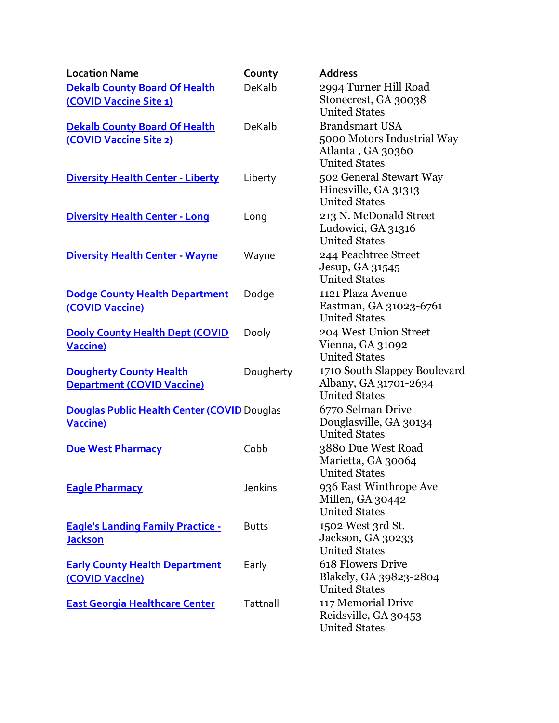| <b>Location Name</b>                                                  | County       | <b>Address</b>                                                                |
|-----------------------------------------------------------------------|--------------|-------------------------------------------------------------------------------|
| <b>Dekalb County Board Of Health</b>                                  | DeKalb       | 2994 Turner Hill Road                                                         |
| (COVID Vaccine Site 1)                                                |              | Stonecrest, GA 30038<br><b>United States</b>                                  |
| <b>Dekalb County Board Of Health</b>                                  | DeKalb       | <b>Brandsmart USA</b>                                                         |
| (COVID Vaccine Site 2)                                                |              | 5000 Motors Industrial Way<br>Atlanta, GA 30360<br><b>United States</b>       |
| <b>Diversity Health Center - Liberty</b>                              | Liberty      | 502 General Stewart Way<br>Hinesville, GA 31313<br><b>United States</b>       |
| <b>Diversity Health Center - Long</b>                                 | Long         | 213 N. McDonald Street<br>Ludowici, GA 31316<br><b>United States</b>          |
| <b>Diversity Health Center - Wayne</b>                                | Wayne        | 244 Peachtree Street<br>Jesup, GA 31545<br><b>United States</b>               |
| <b>Dodge County Health Department</b><br>(COVID Vaccine)              | Dodge        | 1121 Plaza Avenue<br>Eastman, GA 31023-6761<br><b>United States</b>           |
| <b>Dooly County Health Dept (COVID</b><br><b>Vaccine)</b>             | Dooly        | 204 West Union Street<br>Vienna, GA 31092<br><b>United States</b>             |
| <b>Dougherty County Health</b><br><b>Department (COVID Vaccine)</b>   | Dougherty    | 1710 South Slappey Boulevard<br>Albany, GA 31701-2634<br><b>United States</b> |
| <b>Douglas Public Health Center (COVID Douglas</b><br><b>Vaccine)</b> |              | 6770 Selman Drive<br>Douglasville, GA 30134<br><b>United States</b>           |
| <b>Due West Pharmacy</b>                                              | Cobb         | 3880 Due West Road<br>Marietta, GA 30064<br><b>United States</b>              |
| <b>Eagle Pharmacy</b>                                                 | Jenkins      | 936 East Winthrope Ave<br>Millen, GA 30442<br><b>United States</b>            |
| <b>Eagle's Landing Family Practice -</b><br><b>Jackson</b>            | <b>Butts</b> | 1502 West 3rd St.<br>Jackson, GA 30233<br><b>United States</b>                |
| <b>Early County Health Department</b><br>(COVID Vaccine)              | Early        | 618 Flowers Drive<br>Blakely, GA 39823-2804<br><b>United States</b>           |
| <b>East Georgia Healthcare Center</b>                                 | Tattnall     | 117 Memorial Drive<br>Reidsville, GA 30453<br><b>United States</b>            |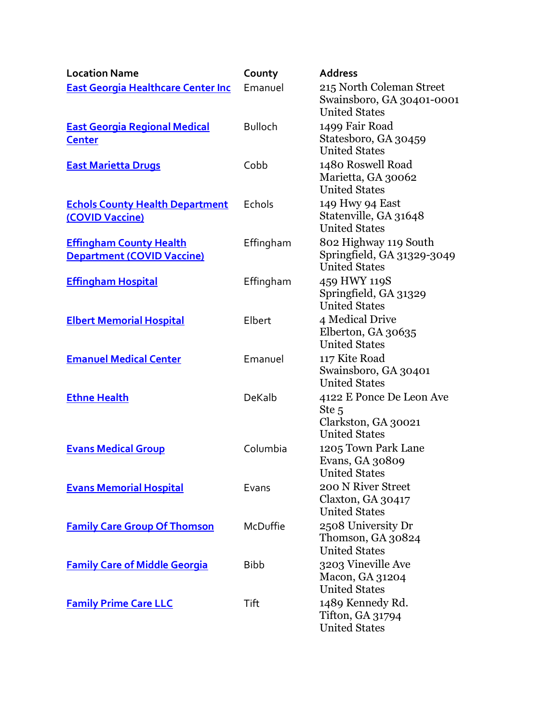| <b>Location Name</b>                                                | County         | <b>Address</b>                                                                              |
|---------------------------------------------------------------------|----------------|---------------------------------------------------------------------------------------------|
| <b>East Georgia Healthcare Center Inc</b>                           | Emanuel        | 215 North Coleman Street<br>Swainsboro, GA 30401-0001<br><b>United States</b>               |
| <b>East Georgia Regional Medical</b><br><b>Center</b>               | <b>Bulloch</b> | 1499 Fair Road<br>Statesboro, GA 30459<br><b>United States</b>                              |
| <b>East Marietta Drugs</b>                                          | Cobb           | 1480 Roswell Road<br>Marietta, GA 30062<br><b>United States</b>                             |
| <b>Echols County Health Department</b><br>(COVID Vaccine)           | Echols         | 149 Hwy 94 East<br>Statenville, GA 31648<br><b>United States</b>                            |
| <b>Effingham County Health</b><br><b>Department (COVID Vaccine)</b> | Effingham      | 802 Highway 119 South<br>Springfield, GA 31329-3049<br><b>United States</b>                 |
| <b>Effingham Hospital</b>                                           | Effingham      | 459 HWY 119S<br>Springfield, GA 31329<br><b>United States</b>                               |
| <b>Elbert Memorial Hospital</b>                                     | Elbert         | 4 Medical Drive<br>Elberton, GA 30635<br><b>United States</b>                               |
| <b>Emanuel Medical Center</b>                                       | Emanuel        | 117 Kite Road<br>Swainsboro, GA 30401<br><b>United States</b>                               |
| <b>Ethne Health</b>                                                 | DeKalb         | 4122 E Ponce De Leon Ave<br>Ste <sub>5</sub><br>Clarkston, GA 30021<br><b>United States</b> |
| <b>Evans Medical Group</b>                                          | Columbia       | 1205 Town Park Lane<br>Evans, GA 30809<br><b>United States</b>                              |
| <b>Evans Memorial Hospital</b>                                      | Evans          | 200 N River Street<br>Claxton, GA 30417<br><b>United States</b>                             |
| <b>Family Care Group Of Thomson</b>                                 | McDuffie       | 2508 University Dr<br>Thomson, GA 30824<br><b>United States</b>                             |
| <b>Family Care of Middle Georgia</b>                                | <b>Bibb</b>    | 3203 Vineville Ave<br>Macon, GA 31204<br><b>United States</b>                               |
| <b>Family Prime Care LLC</b>                                        | Tift           | 1489 Kennedy Rd.<br>Tifton, GA 31794<br><b>United States</b>                                |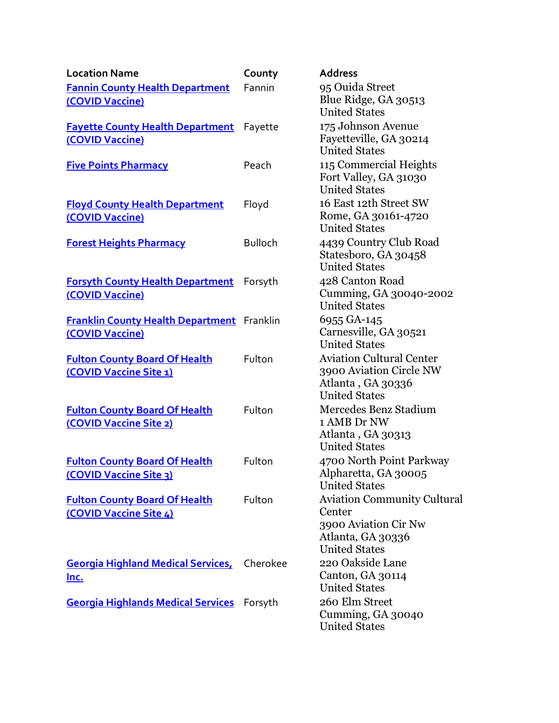| <b>Location Name</b>                                                 | County         | <b>Address</b>                                                                                                    |
|----------------------------------------------------------------------|----------------|-------------------------------------------------------------------------------------------------------------------|
| <b>Fannin County Health Department</b><br>(COVID Vaccine)            | Fannin         | 95 Ouida Street<br>Blue Ridge, GA 30513<br><b>United States</b>                                                   |
| <b>Fayette County Health Department</b> Fayette<br>(COVID Vaccine)   |                | 175 Johnson Avenue<br>Fayetteville, GA 30214<br><b>United States</b>                                              |
| <b>Five Points Pharmacy</b>                                          | Peach          | 115 Commercial Heights<br>Fort Valley, GA 31030<br><b>United States</b>                                           |
| <b>Floyd County Health Department</b><br>(COVID Vaccine)             | Floyd          | 16 East 12th Street SW<br>Rome, GA 30161-4720<br><b>United States</b>                                             |
| <b>Forest Heights Pharmacy</b>                                       | <b>Bulloch</b> | 4439 Country Club Road<br>Statesboro, GA 30458<br><b>United States</b>                                            |
| <b>Forsyth County Health Department</b><br>(COVID Vaccine)           | Forsyth        | 428 Canton Road<br>Cumming, GA 30040-2002<br><b>United States</b>                                                 |
| <b>Franklin County Health Department</b> Franklin<br>(COVID Vaccine) |                | 6955 GA-145<br>Carnesville, GA 30521<br><b>United States</b>                                                      |
| <b>Fulton County Board Of Health</b><br>(COVID Vaccine Site 1)       | Fulton         | <b>Aviation Cultural Center</b><br>3900 Aviation Circle NW<br>Atlanta, GA 30336<br><b>United States</b>           |
| <b>Fulton County Board Of Health</b><br>(COVID Vaccine Site 2)       | Fulton         | Mercedes Benz Stadium<br>1 AMB Dr NW<br>Atlanta, GA 30313<br><b>United States</b>                                 |
| <b>Fulton County Board Of Health</b><br>(COVID Vaccine Site 3)       | Fulton         | 4700 North Point Parkway<br>Alpharetta, GA 30005<br><b>United States</b>                                          |
| <b>Fulton County Board Of Health</b><br>(COVID Vaccine Site 4)       | Fulton         | <b>Aviation Community Cultural</b><br>Center<br>3900 Aviation Cir Nw<br>Atlanta, GA 30336<br><b>United States</b> |
| <b>Georgia Highland Medical Services,</b><br>Inc.                    | Cherokee       | 220 Oakside Lane<br>Canton, GA 30114<br><b>United States</b>                                                      |
| <b>Georgia Highlands Medical Services</b> Forsyth                    |                | 260 Elm Street<br>Cumming, GA 30040<br><b>United States</b>                                                       |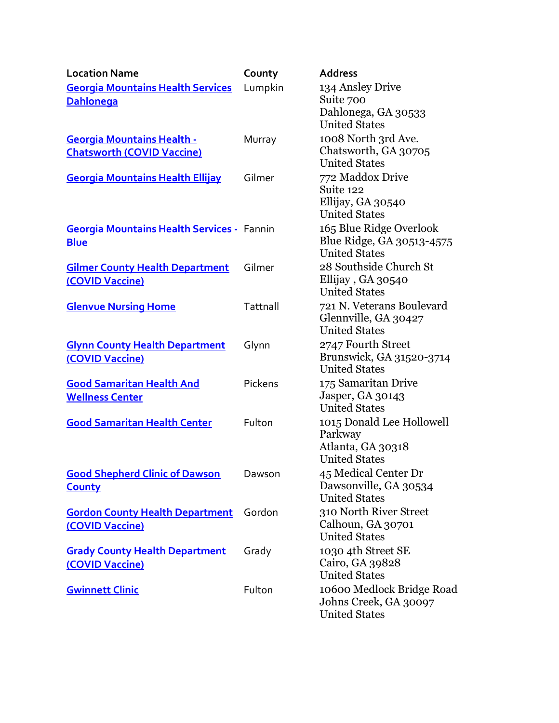| <b>Location Name</b>                                                   | County   | <b>Address</b>                                                                    |
|------------------------------------------------------------------------|----------|-----------------------------------------------------------------------------------|
| <b>Georgia Mountains Health Services</b><br><b>Dahlonega</b>           | Lumpkin  | 134 Ansley Drive<br>Suite 700                                                     |
|                                                                        |          | Dahlonega, GA 30533<br><b>United States</b>                                       |
| <b>Georgia Mountains Health -</b><br><b>Chatsworth (COVID Vaccine)</b> | Murray   | 1008 North 3rd Ave.<br>Chatsworth, GA 30705<br><b>United States</b>               |
| <b>Georgia Mountains Health Ellijay</b>                                | Gilmer   | 772 Maddox Drive<br>Suite 122<br>Ellijay, GA 30540<br><b>United States</b>        |
| <b>Georgia Mountains Health Services - Fannin</b><br><b>Blue</b>       |          | 165 Blue Ridge Overlook<br>Blue Ridge, GA 30513-4575<br><b>United States</b>      |
| <b>Gilmer County Health Department</b><br>(COVID Vaccine)              | Gilmer   | 28 Southside Church St<br>Ellijay, GA 30540<br><b>United States</b>               |
| <b>Glenvue Nursing Home</b>                                            | Tattnall | 721 N. Veterans Boulevard<br>Glennville, GA 30427<br><b>United States</b>         |
| <b>Glynn County Health Department</b><br>(COVID Vaccine)               | Glynn    | 2747 Fourth Street<br>Brunswick, GA 31520-3714<br><b>United States</b>            |
| <b>Good Samaritan Health And</b><br><b>Wellness Center</b>             | Pickens  | 175 Samaritan Drive<br>Jasper, GA 30143<br><b>United States</b>                   |
| <b>Good Samaritan Health Center</b>                                    | Fulton   | 1015 Donald Lee Hollowell<br>Parkway<br>Atlanta, GA 30318<br><b>United States</b> |
| <b>Good Shepherd Clinic of Dawson</b><br><b>County</b>                 | Dawson   | 45 Medical Center Dr<br>Dawsonville, GA 30534<br><b>United States</b>             |
| <b>Gordon County Health Department</b><br>(COVID Vaccine)              | Gordon   | 310 North River Street<br>Calhoun, GA 30701<br><b>United States</b>               |
| <b>Grady County Health Department</b><br>(COVID Vaccine)               | Grady    | 1030 4th Street SE<br>Cairo, GA 39828<br><b>United States</b>                     |
| <b>Gwinnett Clinic</b>                                                 | Fulton   | 10600 Medlock Bridge Road<br>Johns Creek, GA 30097<br><b>United States</b>        |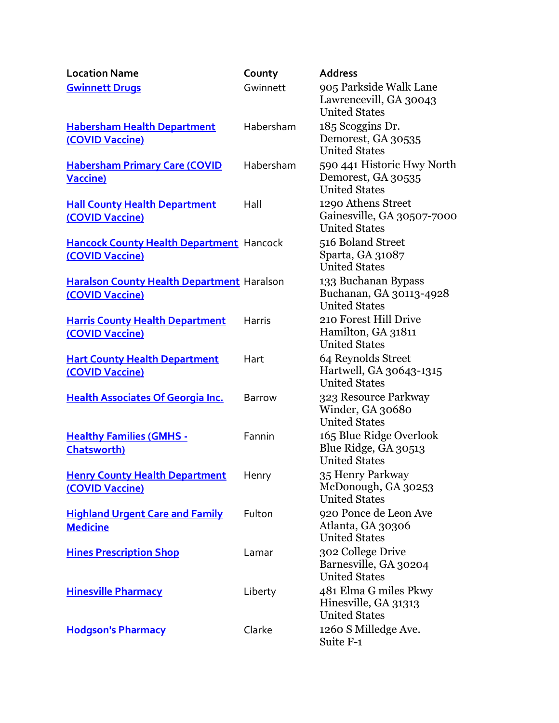| <b>Location Name</b>                                                 | County        | <b>Address</b>                                                           |
|----------------------------------------------------------------------|---------------|--------------------------------------------------------------------------|
| <b>Gwinnett Drugs</b>                                                | Gwinnett      | 905 Parkside Walk Lane<br>Lawrencevill, GA 30043<br><b>United States</b> |
| <b>Habersham Health Department</b><br>(COVID Vaccine)                | Habersham     | 185 Scoggins Dr.<br>Demorest, GA 30535<br><b>United States</b>           |
| <b>Habersham Primary Care (COVID</b><br><b>Vaccine)</b>              | Habersham     | 590 441 Historic Hwy North<br>Demorest, GA 30535<br><b>United States</b> |
| <b>Hall County Health Department</b><br>(COVID Vaccine)              | Hall          | 1290 Athens Street<br>Gainesville, GA 30507-7000<br><b>United States</b> |
| Hancock County Health Department Hancock<br>(COVID Vaccine)          |               | 516 Boland Street<br>Sparta, GA 31087<br><b>United States</b>            |
| <b>Haralson County Health Department Haralson</b><br>(COVID Vaccine) |               | 133 Buchanan Bypass<br>Buchanan, GA 30113-4928<br><b>United States</b>   |
| <b>Harris County Health Department</b><br>(COVID Vaccine)            | <b>Harris</b> | 210 Forest Hill Drive<br>Hamilton, GA 31811<br><b>United States</b>      |
| <b>Hart County Health Department</b><br>(COVID Vaccine)              | Hart          | 64 Reynolds Street<br>Hartwell, GA 30643-1315<br><b>United States</b>    |
| <b>Health Associates Of Georgia Inc.</b>                             | <b>Barrow</b> | 323 Resource Parkway<br>Winder, GA 30680<br><b>United States</b>         |
| <b>Healthy Families (GMHS -</b><br><b>Chatsworth)</b>                | Fannin        | 165 Blue Ridge Overlook<br>Blue Ridge, GA 30513<br><b>United States</b>  |
| <b>Henry County Health Department</b><br>(COVID Vaccine)             | Henry         | 35 Henry Parkway<br>McDonough, GA 30253<br><b>United States</b>          |
| <b>Highland Urgent Care and Family</b><br><b>Medicine</b>            | Fulton        | 920 Ponce de Leon Ave<br>Atlanta, GA 30306<br><b>United States</b>       |
| <b>Hines Prescription Shop</b>                                       | Lamar         | 302 College Drive<br>Barnesville, GA 30204<br><b>United States</b>       |
| <b>Hinesville Pharmacy</b>                                           | Liberty       | 481 Elma G miles Pkwy<br>Hinesville, GA 31313<br><b>United States</b>    |
| <b>Hodgson's Pharmacy</b>                                            | Clarke        | 1260 S Milledge Ave.<br>Suite F-1                                        |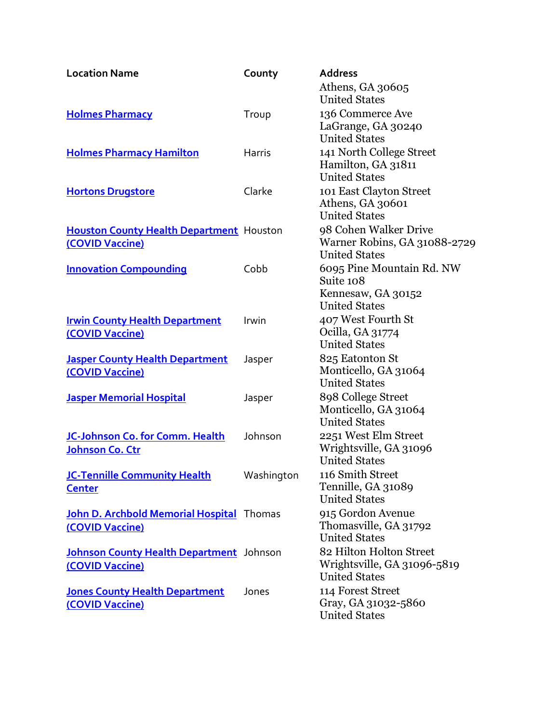| <b>Location Name</b>                            | County     | <b>Address</b>                               |
|-------------------------------------------------|------------|----------------------------------------------|
|                                                 |            | Athens, GA 30605                             |
|                                                 |            | <b>United States</b>                         |
| <b>Holmes Pharmacy</b>                          | Troup      | 136 Commerce Ave                             |
|                                                 |            | LaGrange, GA 30240                           |
|                                                 |            | <b>United States</b>                         |
| <b>Holmes Pharmacy Hamilton</b>                 | Harris     | 141 North College Street                     |
|                                                 |            | Hamilton, GA 31811<br><b>United States</b>   |
|                                                 | Clarke     | 101 East Clayton Street                      |
| <b>Hortons Drugstore</b>                        |            | Athens, GA 30601                             |
|                                                 |            | <b>United States</b>                         |
| <b>Houston County Health Department Houston</b> |            | 98 Cohen Walker Drive                        |
| (COVID Vaccine)                                 |            | Warner Robins, GA 31088-2729                 |
|                                                 |            | <b>United States</b>                         |
| <b>Innovation Compounding</b>                   | Cobb       | 6095 Pine Mountain Rd. NW                    |
|                                                 |            | Suite 108                                    |
|                                                 |            | Kennesaw, GA 30152                           |
|                                                 |            | <b>United States</b>                         |
| <b>Irwin County Health Department</b>           | Irwin      | 407 West Fourth St                           |
| (COVID Vaccine)                                 |            | Ocilla, GA 31774                             |
|                                                 |            | <b>United States</b>                         |
| <b>Jasper County Health Department</b>          | Jasper     | 825 Eatonton St                              |
| (COVID Vaccine)                                 |            | Monticello, GA 31064<br><b>United States</b> |
|                                                 |            | 898 College Street                           |
| <b>Jasper Memorial Hospital</b>                 | Jasper     | Monticello, GA 31064                         |
|                                                 |            | <b>United States</b>                         |
| JC-Johnson Co. for Comm. Health                 | Johnson    | 2251 West Elm Street                         |
| Johnson Co. Ctr                                 |            | Wrightsville, GA 31096                       |
|                                                 |            | <b>United States</b>                         |
| JC-Tennille Community Health                    | Washington | 116 Smith Street                             |
| <b>Center</b>                                   |            | Tennille, GA 31089                           |
|                                                 |            | <b>United States</b>                         |
| John D. Archbold Memorial Hospital Thomas       |            | 915 Gordon Avenue                            |
| (COVID Vaccine)                                 |            | Thomasville, GA 31792                        |
|                                                 |            | <b>United States</b>                         |
| Johnson County Health Department Johnson        |            | 82 Hilton Holton Street                      |
| (COVID Vaccine)                                 |            | Wrightsville, GA 31096-5819                  |
|                                                 |            | <b>United States</b>                         |
| <b>Jones County Health Department</b>           | Jones      | 114 Forest Street<br>Gray, GA 31032-5860     |
| (COVID Vaccine)                                 |            | <b>United States</b>                         |
|                                                 |            |                                              |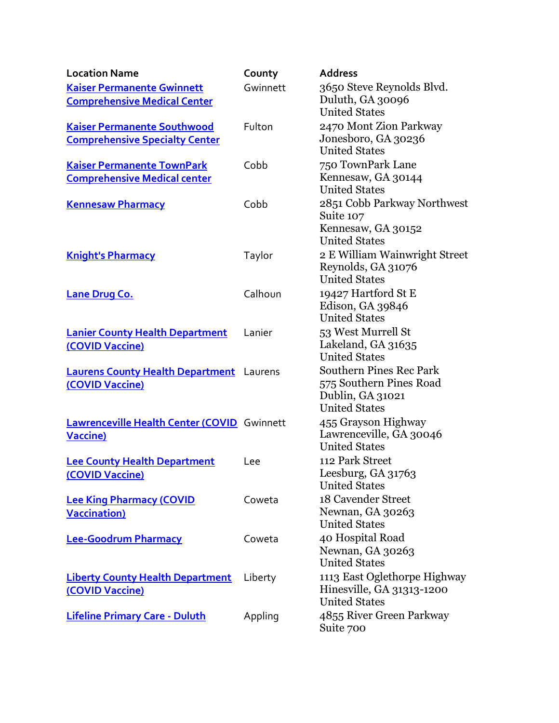| <b>Location Name</b>                                                        | County   | <b>Address</b>                                                                                        |
|-----------------------------------------------------------------------------|----------|-------------------------------------------------------------------------------------------------------|
| <b>Kaiser Permanente Gwinnett</b><br><b>Comprehensive Medical Center</b>    | Gwinnett | 3650 Steve Reynolds Blvd.<br>Duluth, GA 30096<br><b>United States</b>                                 |
| <b>Kaiser Permanente Southwood</b><br><b>Comprehensive Specialty Center</b> | Fulton   | 2470 Mont Zion Parkway<br>Jonesboro, GA 30236<br><b>United States</b>                                 |
| <b>Kaiser Permanente TownPark</b><br><b>Comprehensive Medical center</b>    | Cobb     | 750 TownPark Lane<br>Kennesaw, GA 30144<br><b>United States</b>                                       |
| <b>Kennesaw Pharmacy</b>                                                    | Cobb     | 2851 Cobb Parkway Northwest<br>Suite 107<br>Kennesaw, GA 30152<br><b>United States</b>                |
| <b>Knight's Pharmacy</b>                                                    | Taylor   | 2 E William Wainwright Street<br>Reynolds, GA 31076<br><b>United States</b>                           |
| <b>Lane Drug Co.</b>                                                        | Calhoun  | 19427 Hartford St E<br>Edison, GA 39846<br><b>United States</b>                                       |
| <b>Lanier County Health Department</b><br>(COVID Vaccine)                   | Lanier   | 53 West Murrell St<br>Lakeland, GA 31635<br><b>United States</b>                                      |
| <b>Laurens County Health Department</b> Laurens<br>(COVID Vaccine)          |          | <b>Southern Pines Rec Park</b><br>575 Southern Pines Road<br>Dublin, GA 31021<br><b>United States</b> |
| Lawrenceville Health Center (COVID Gwinnett<br><b>Vaccine)</b>              |          | 455 Grayson Highway<br>Lawrenceville, GA 30046<br><b>United States</b>                                |
| <b>Lee County Health Department</b><br>(COVID Vaccine)                      | Lee      | 112 Park Street<br>Leesburg, GA 31763<br><b>United States</b>                                         |
| <b>Lee King Pharmacy (COVID</b><br><b>Vaccination</b> )                     | Coweta   | 18 Cavender Street<br>Newnan, GA 30263<br><b>United States</b>                                        |
| Lee-Goodrum Pharmacy                                                        | Coweta   | 40 Hospital Road<br>Newnan, GA 30263<br><b>United States</b>                                          |
| <b>Liberty County Health Department</b><br>(COVID Vaccine)                  | Liberty  | 1113 East Oglethorpe Highway<br>Hinesville, GA 31313-1200<br><b>United States</b>                     |
| <b>Lifeline Primary Care - Duluth</b>                                       | Appling  | 4855 River Green Parkway<br>Suite 700                                                                 |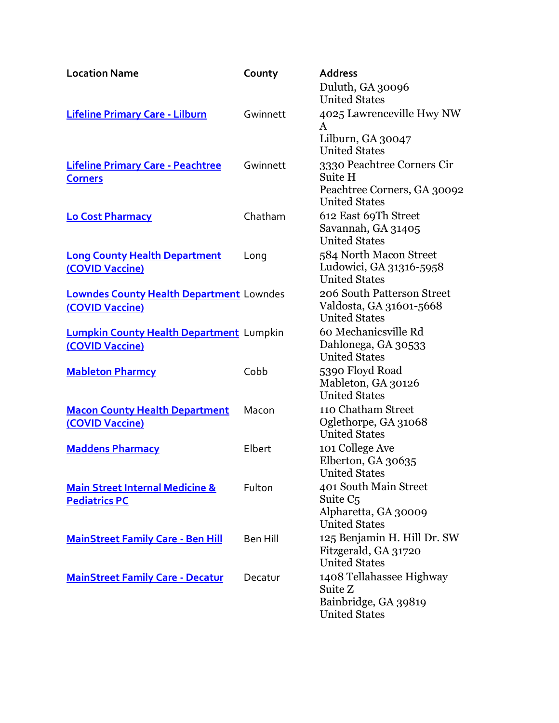| <b>Location Name</b>                                               | County   | <b>Address</b>                                                                                |
|--------------------------------------------------------------------|----------|-----------------------------------------------------------------------------------------------|
|                                                                    |          | Duluth, GA 30096<br><b>United States</b>                                                      |
| <b>Lifeline Primary Care - Lilburn</b>                             | Gwinnett | 4025 Lawrenceville Hwy NW<br>$\mathsf{A}$                                                     |
|                                                                    |          | Lilburn, GA 30047<br><b>United States</b>                                                     |
| <b>Lifeline Primary Care - Peachtree</b><br><b>Corners</b>         | Gwinnett | 3330 Peachtree Corners Cir<br>Suite H                                                         |
|                                                                    |          | Peachtree Corners, GA 30092<br><b>United States</b>                                           |
| <b>Lo Cost Pharmacy</b>                                            | Chatham  | 612 East 69Th Street<br>Savannah, GA 31405<br><b>United States</b>                            |
| <b>Long County Health Department</b><br>(COVID Vaccine)            | Long     | 584 North Macon Street<br>Ludowici, GA 31316-5958<br><b>United States</b>                     |
| <b>Lowndes County Health Department Lowndes</b><br>(COVID Vaccine) |          | 206 South Patterson Street<br>Valdosta, GA 31601-5668<br><b>United States</b>                 |
| <b>Lumpkin County Health Department</b> Lumpkin<br>(COVID Vaccine) |          | 60 Mechanicsville Rd<br>Dahlonega, GA 30533<br><b>United States</b>                           |
| <b>Mableton Pharmcy</b>                                            | Cobb     | 5390 Floyd Road<br>Mableton, GA 30126<br><b>United States</b>                                 |
| <b>Macon County Health Department</b><br>(COVID Vaccine)           | Macon    | 110 Chatham Street<br>Oglethorpe, GA 31068<br><b>United States</b>                            |
| <b>Maddens Pharmacy</b>                                            | Elbert   | 101 College Ave<br>Elberton, GA 30635<br><b>United States</b>                                 |
| <b>Main Street Internal Medicine &amp;</b><br><b>Pediatrics PC</b> | Fulton   | 401 South Main Street<br>Suite C <sub>5</sub><br>Alpharetta, GA 30009<br><b>United States</b> |
| <b>MainStreet Family Care - Ben Hill</b>                           | Ben Hill | 125 Benjamin H. Hill Dr. SW<br>Fitzgerald, GA 31720<br><b>United States</b>                   |
| <b>MainStreet Family Care - Decatur</b>                            | Decatur  | 1408 Tellahassee Highway<br>Suite Z<br>Bainbridge, GA 39819<br><b>United States</b>           |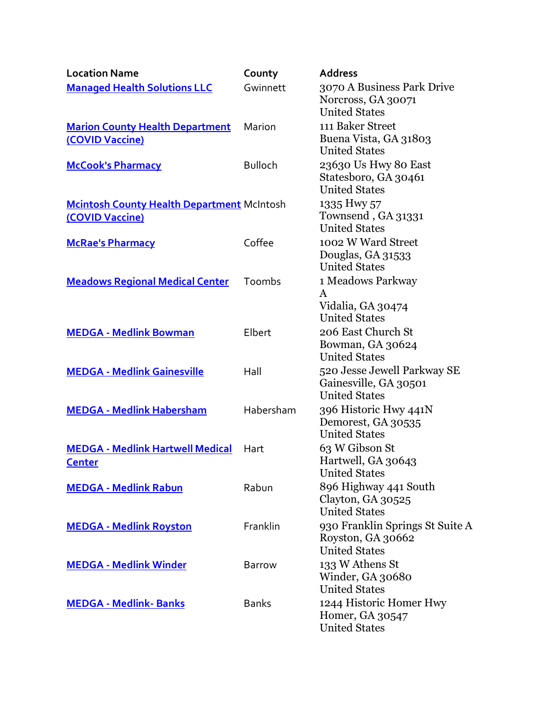| <b>Location Name</b>                                                 | County         | <b>Address</b>                                                               |
|----------------------------------------------------------------------|----------------|------------------------------------------------------------------------------|
| <b>Managed Health Solutions LLC</b>                                  | Gwinnett       | 3070 A Business Park Drive<br>Norcross, GA 30071<br><b>United States</b>     |
| <b>Marion County Health Department</b><br>(COVID Vaccine)            | Marion         | 111 Baker Street<br>Buena Vista, GA 31803<br><b>United States</b>            |
| <b>McCook's Pharmacy</b>                                             | <b>Bulloch</b> | 23630 Us Hwy 80 East<br>Statesboro, GA 30461<br><b>United States</b>         |
| <b>Mcintosh County Health Department McIntosh</b><br>(COVID Vaccine) |                | 1335 Hwy 57<br>Townsend, GA 31331<br><b>United States</b>                    |
| <b>McRae's Pharmacy</b>                                              | Coffee         | 1002 W Ward Street<br>Douglas, GA 31533<br><b>United States</b>              |
| <b>Meadows Regional Medical Center</b>                               | Toombs         | 1 Meadows Parkway<br>$\bf{A}$<br>Vidalia, GA 30474<br><b>United States</b>   |
| <b>MEDGA - Medlink Bowman</b>                                        | Elbert         | 206 East Church St<br>Bowman, GA 30624<br><b>United States</b>               |
| <b>MEDGA - Medlink Gainesville</b>                                   | Hall           | 520 Jesse Jewell Parkway SE<br>Gainesville, GA 30501<br><b>United States</b> |
| <b>MEDGA - Medlink Habersham</b>                                     | Habersham      | 396 Historic Hwy 441N<br>Demorest, GA 30535<br><b>United States</b>          |
| <b>MEDGA - Medlink Hartwell Medical</b><br><b>Center</b>             | Hart           | 63 W Gibson St<br>Hartwell, GA 30643<br><b>United States</b>                 |
| <b>MEDGA - Medlink Rabun</b>                                         | Rabun          | 896 Highway 441 South<br>Clayton, GA 30525<br><b>United States</b>           |
| <b>MEDGA - Medlink Royston</b>                                       | Franklin       | 930 Franklin Springs St Suite A<br>Royston, GA 30662<br><b>United States</b> |
| <b>MEDGA - Medlink Winder</b>                                        | <b>Barrow</b>  | 133 W Athens St<br>Winder, GA 30680<br><b>United States</b>                  |
| <b>MEDGA - Medlink-Banks</b>                                         | <b>Banks</b>   | 1244 Historic Homer Hwy<br>Homer, GA 30547<br><b>United States</b>           |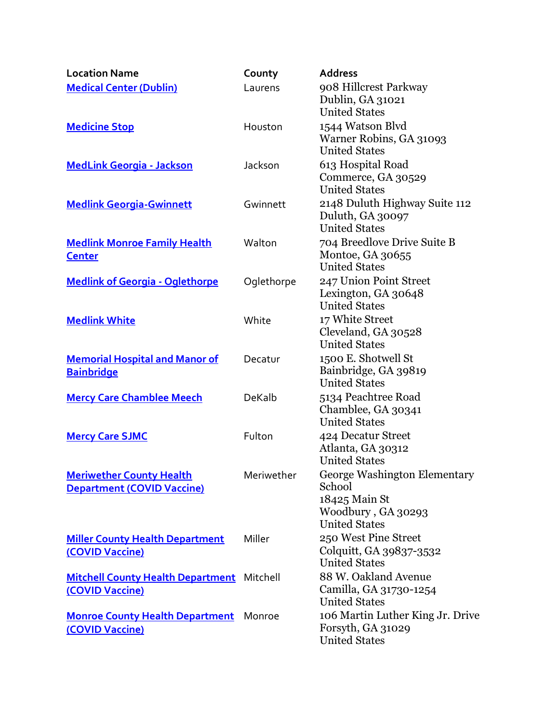| <b>Location Name</b>                                                 | County     | <b>Address</b>                                                                                        |
|----------------------------------------------------------------------|------------|-------------------------------------------------------------------------------------------------------|
| <b>Medical Center (Dublin)</b>                                       | Laurens    | 908 Hillcrest Parkway<br>Dublin, GA 31021<br><b>United States</b>                                     |
| <b>Medicine Stop</b>                                                 | Houston    | 1544 Watson Blvd<br>Warner Robins, GA 31093<br><b>United States</b>                                   |
| <b>MedLink Georgia - Jackson</b>                                     | Jackson    | 613 Hospital Road<br>Commerce, GA 30529<br><b>United States</b>                                       |
| <b>Medlink Georgia-Gwinnett</b>                                      | Gwinnett   | 2148 Duluth Highway Suite 112<br>Duluth, GA 30097<br><b>United States</b>                             |
| <b>Medlink Monroe Family Health</b><br><b>Center</b>                 | Walton     | 704 Breedlove Drive Suite B<br>Montoe, GA 30655<br><b>United States</b>                               |
| <b>Medlink of Georgia - Oglethorpe</b>                               | Oglethorpe | 247 Union Point Street<br>Lexington, GA 30648<br><b>United States</b>                                 |
| <b>Medlink White</b>                                                 | White      | 17 White Street<br>Cleveland, GA 30528<br><b>United States</b>                                        |
| <b>Memorial Hospital and Manor of</b><br><b>Bainbridge</b>           | Decatur    | 1500 E. Shotwell St<br>Bainbridge, GA 39819<br><b>United States</b>                                   |
| <b>Mercy Care Chamblee Meech</b>                                     | DeKalb     | 5134 Peachtree Road<br>Chamblee, GA 30341<br><b>United States</b>                                     |
| <b>Mercy Care SJMC</b>                                               | Fulton     | 424 Decatur Street<br>Atlanta, GA 30312<br><b>United States</b>                                       |
| <b>Meriwether County Health</b><br><b>Department (COVID Vaccine)</b> | Meriwether | George Washington Elementary<br>School<br>18425 Main St<br>Woodbury, GA 30293<br><b>United States</b> |
| <b>Miller County Health Department</b><br>(COVID Vaccine)            | Miller     | 250 West Pine Street<br>Colquitt, GA 39837-3532<br><b>United States</b>                               |
| <b>Mitchell County Health Department</b><br>(COVID Vaccine)          | Mitchell   | 88 W. Oakland Avenue<br>Camilla, GA 31730-1254<br><b>United States</b>                                |
| <b>Monroe County Health Department</b><br>(COVID Vaccine)            | Monroe     | 106 Martin Luther King Jr. Drive<br>Forsyth, GA 31029<br><b>United States</b>                         |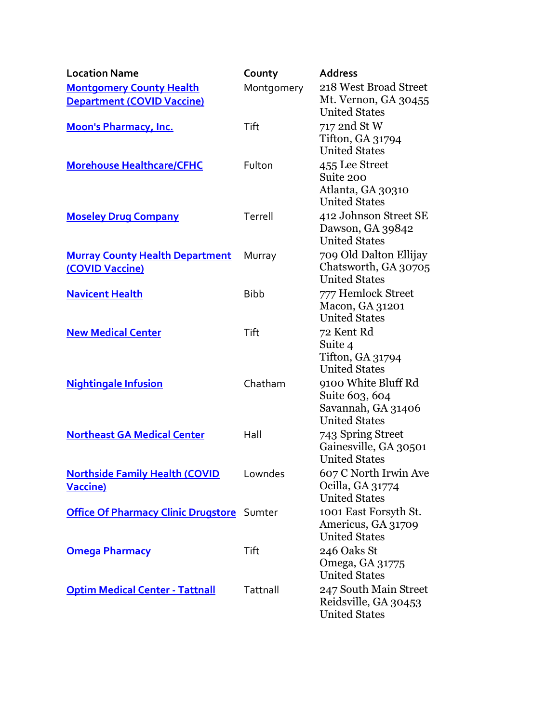| <b>Location Name</b>                                                 | County      | <b>Address</b>                                                                            |
|----------------------------------------------------------------------|-------------|-------------------------------------------------------------------------------------------|
| <b>Montgomery County Health</b><br><b>Department (COVID Vaccine)</b> | Montgomery  | 218 West Broad Street<br>Mt. Vernon, GA 30455<br><b>United States</b>                     |
| <b>Moon's Pharmacy, Inc.</b>                                         | Tift        | 717 2nd St W<br>Tifton, GA 31794<br><b>United States</b>                                  |
| <b>Morehouse Healthcare/CFHC</b>                                     | Fulton      | 455 Lee Street<br>Suite 200<br>Atlanta, GA 30310                                          |
| <b>Moseley Drug Company</b>                                          | Terrell     | <b>United States</b><br>412 Johnson Street SE<br>Dawson, GA 39842<br><b>United States</b> |
| <b>Murray County Health Department</b><br>(COVID Vaccine)            | Murray      | 709 Old Dalton Ellijay<br>Chatsworth, GA 30705<br><b>United States</b>                    |
| <b>Navicent Health</b>                                               | <b>Bibb</b> | 777 Hemlock Street<br>Macon, GA 31201<br><b>United States</b>                             |
| <b>New Medical Center</b>                                            | Tift        | 72 Kent Rd<br>Suite 4<br>Tifton, GA 31794<br><b>United States</b>                         |
| <b>Nightingale Infusion</b>                                          | Chatham     | 9100 White Bluff Rd<br>Suite 603, 604<br>Savannah, GA 31406<br><b>United States</b>       |
| <b>Northeast GA Medical Center</b>                                   | Hall        | 743 Spring Street<br>Gainesville, GA 30501<br><b>United States</b>                        |
| <b>Northside Family Health (COVID</b><br><b>Vaccine)</b>             | Lowndes     | 607 C North Irwin Ave<br>Ocilla, GA 31774<br><b>United States</b>                         |
| <b>Office Of Pharmacy Clinic Drugstore</b> Sumter                    |             | 1001 East Forsyth St.<br>Americus, GA 31709<br><b>United States</b>                       |
| <b>Omega Pharmacy</b>                                                | Tift        | 246 Oaks St<br>Omega, GA 31775<br><b>United States</b>                                    |
| <b>Optim Medical Center - Tattnall</b>                               | Tattnall    | 247 South Main Street<br>Reidsville, GA 30453<br><b>United States</b>                     |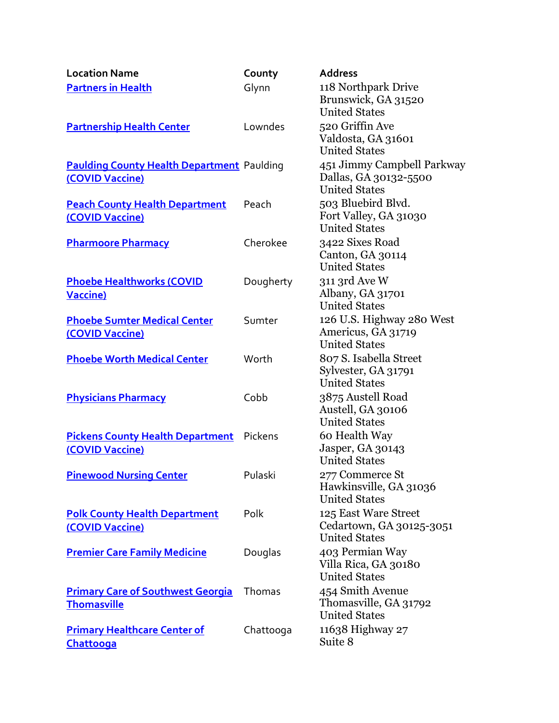| <b>Location Name</b>                                                 | County    | <b>Address</b>                                                              |
|----------------------------------------------------------------------|-----------|-----------------------------------------------------------------------------|
| <b>Partners in Health</b>                                            | Glynn     | 118 Northpark Drive<br>Brunswick, GA 31520<br><b>United States</b>          |
| <b>Partnership Health Center</b>                                     | Lowndes   | 520 Griffin Ave<br>Valdosta, GA 31601<br><b>United States</b>               |
| <b>Paulding County Health Department</b> Paulding<br>(COVID Vaccine) |           | 451 Jimmy Campbell Parkway<br>Dallas, GA 30132-5500<br><b>United States</b> |
| <b>Peach County Health Department</b><br>(COVID Vaccine)             | Peach     | 503 Bluebird Blvd.<br>Fort Valley, GA 31030<br><b>United States</b>         |
| <b>Pharmoore Pharmacy</b>                                            | Cherokee  | 3422 Sixes Road<br>Canton, GA 30114<br><b>United States</b>                 |
| <b>Phoebe Healthworks (COVID</b><br><b>Vaccine)</b>                  | Dougherty | 311 3rd Ave W<br>Albany, GA 31701<br><b>United States</b>                   |
| <b>Phoebe Sumter Medical Center</b><br>(COVID Vaccine)               | Sumter    | 126 U.S. Highway 280 West<br>Americus, GA 31719<br><b>United States</b>     |
| <b>Phoebe Worth Medical Center</b>                                   | Worth     | 807 S. Isabella Street<br>Sylvester, GA 31791<br><b>United States</b>       |
| <b>Physicians Pharmacy</b>                                           | Cobb      | 3875 Austell Road<br>Austell, GA 30106<br><b>United States</b>              |
| <b>Pickens County Health Department</b><br>(COVID Vaccine)           | Pickens   | 60 Health Way<br>Jasper, GA 30143<br><b>United States</b>                   |
| <b>Pinewood Nursing Center</b>                                       | Pulaski   | 277 Commerce St<br>Hawkinsville, GA 31036<br><b>United States</b>           |
| <b>Polk County Health Department</b><br>(COVID Vaccine)              | Polk      | 125 East Ware Street<br>Cedartown, GA 30125-3051<br><b>United States</b>    |
| <b>Premier Care Family Medicine</b>                                  | Douglas   | 403 Permian Way<br>Villa Rica, GA 30180<br><b>United States</b>             |
| <b>Primary Care of Southwest Georgia</b><br><b>Thomasville</b>       | Thomas    | 454 Smith Avenue<br>Thomasville, GA 31792<br><b>United States</b>           |
| <b>Primary Healthcare Center of</b><br>Chattooga                     | Chattooga | 11638 Highway 27<br>Suite 8                                                 |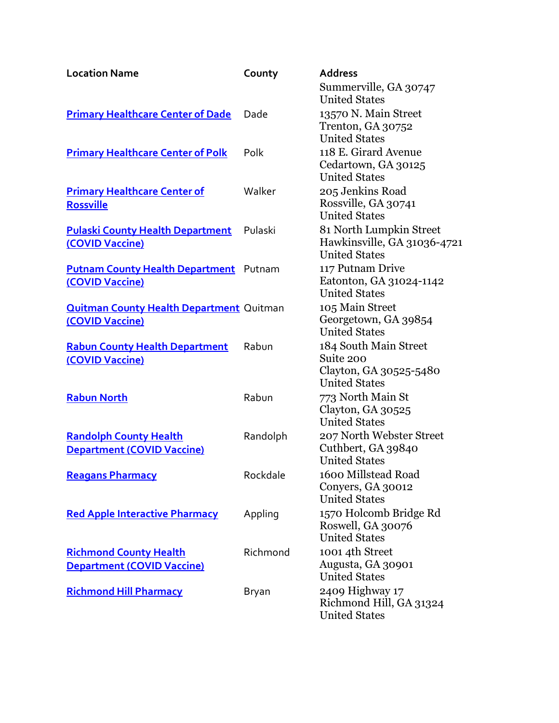| <b>Location Name</b>                            | County   | <b>Address</b>                                  |
|-------------------------------------------------|----------|-------------------------------------------------|
|                                                 |          | Summerville, GA 30747                           |
|                                                 |          | <b>United States</b>                            |
| <b>Primary Healthcare Center of Dade</b>        | Dade     | 13570 N. Main Street                            |
|                                                 |          | Trenton, GA 30752                               |
|                                                 |          | <b>United States</b>                            |
| <b>Primary Healthcare Center of Polk</b>        | Polk     | 118 E. Girard Avenue                            |
|                                                 |          | Cedartown, GA 30125                             |
|                                                 |          | <b>United States</b>                            |
| <b>Primary Healthcare Center of</b>             | Walker   | 205 Jenkins Road                                |
| <b>Rossville</b>                                |          | Rossville, GA 30741                             |
|                                                 |          | <b>United States</b>                            |
| <b>Pulaski County Health Department</b>         | Pulaski  | 81 North Lumpkin Street                         |
| (COVID Vaccine)                                 |          | Hawkinsville, GA 31036-4721                     |
|                                                 |          | <b>United States</b>                            |
| <b>Putnam County Health Department</b> Putnam   |          | 117 Putnam Drive                                |
| (COVID Vaccine)                                 |          | Eatonton, GA 31024-1142<br><b>United States</b> |
|                                                 |          |                                                 |
| <b>Quitman County Health Department Quitman</b> |          | 105 Main Street<br>Georgetown, GA 39854         |
| (COVID Vaccine)                                 |          | <b>United States</b>                            |
|                                                 |          | 184 South Main Street                           |
| <b>Rabun County Health Department</b>           | Rabun    | Suite 200                                       |
| (COVID Vaccine)                                 |          | Clayton, GA 30525-5480                          |
|                                                 |          | <b>United States</b>                            |
| <b>Rabun North</b>                              | Rabun    | 773 North Main St                               |
|                                                 |          | Clayton, GA 30525                               |
|                                                 |          | <b>United States</b>                            |
| <b>Randolph County Health</b>                   | Randolph | 207 North Webster Street                        |
| <b>Department (COVID Vaccine)</b>               |          | Cuthbert, GA 39840                              |
|                                                 |          | <b>United States</b>                            |
| <b>Reagans Pharmacy</b>                         | Rockdale | 1600 Millstead Road                             |
|                                                 |          | Conyers, GA 30012                               |
|                                                 |          | <b>United States</b>                            |
| <b>Red Apple Interactive Pharmacy</b>           | Appling  | 1570 Holcomb Bridge Rd                          |
|                                                 |          | Roswell, GA 30076                               |
|                                                 |          | <b>United States</b>                            |
| <b>Richmond County Health</b>                   | Richmond | 1001 4th Street                                 |
| <b>Department (COVID Vaccine)</b>               |          | Augusta, GA 30901                               |
|                                                 |          | <b>United States</b>                            |
| <b>Richmond Hill Pharmacy</b>                   | Bryan    | 2409 Highway 17                                 |
|                                                 |          | Richmond Hill, GA 31324                         |
|                                                 |          | <b>United States</b>                            |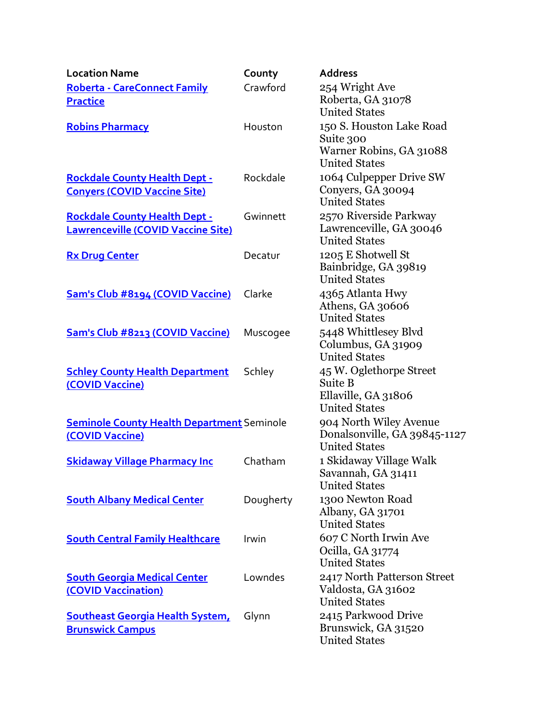| <b>Location Name</b>                                                              | County    | <b>Address</b>                                                                           |
|-----------------------------------------------------------------------------------|-----------|------------------------------------------------------------------------------------------|
| <b>Roberta - CareConnect Family</b>                                               | Crawford  | 254 Wright Ave                                                                           |
| <b>Practice</b>                                                                   |           | Roberta, GA 31078<br><b>United States</b>                                                |
| <b>Robins Pharmacy</b>                                                            | Houston   | 150 S. Houston Lake Road<br>Suite 300<br>Warner Robins, GA 31088<br><b>United States</b> |
| <b>Rockdale County Health Dept -</b><br><b>Conyers (COVID Vaccine Site)</b>       | Rockdale  | 1064 Culpepper Drive SW<br>Conyers, GA 30094<br><b>United States</b>                     |
| <b>Rockdale County Health Dept -</b><br><b>Lawrenceville (COVID Vaccine Site)</b> | Gwinnett  | 2570 Riverside Parkway<br>Lawrenceville, GA 30046<br><b>United States</b>                |
| <b>Rx Drug Center</b>                                                             | Decatur   | 1205 E Shotwell St<br>Bainbridge, GA 39819<br><b>United States</b>                       |
| Sam's Club #8194 (COVID Vaccine)                                                  | Clarke    | 4365 Atlanta Hwy<br>Athens, GA 30606<br><b>United States</b>                             |
| Sam's Club #8213 (COVID Vaccine)                                                  | Muscogee  | 5448 Whittlesey Blvd<br>Columbus, GA 31909<br><b>United States</b>                       |
| <b>Schley County Health Department</b><br>(COVID Vaccine)                         | Schley    | 45 W. Oglethorpe Street<br>Suite B<br>Ellaville, GA 31806<br><b>United States</b>        |
| <b>Seminole County Health Department Seminole</b><br>(COVID Vaccine)              |           | 904 North Wiley Avenue<br>Donalsonville, GA 39845-1127<br><b>United States</b>           |
| <b>Skidaway Village Pharmacy Inc</b>                                              | Chatham   | 1 Skidaway Village Walk<br>Savannah, GA 31411<br><b>United States</b>                    |
| <b>South Albany Medical Center</b>                                                | Dougherty | 1300 Newton Road<br>Albany, GA 31701<br><b>United States</b>                             |
| <b>South Central Family Healthcare</b>                                            | Irwin     | 607 C North Irwin Ave<br>Ocilla, GA 31774<br><b>United States</b>                        |
| <b>South Georgia Medical Center</b><br>(COVID Vaccination)                        | Lowndes   | 2417 North Patterson Street<br>Valdosta, GA 31602<br><b>United States</b>                |
| <b>Southeast Georgia Health System,</b><br><b>Brunswick Campus</b>                | Glynn     | 2415 Parkwood Drive<br>Brunswick, GA 31520<br><b>United States</b>                       |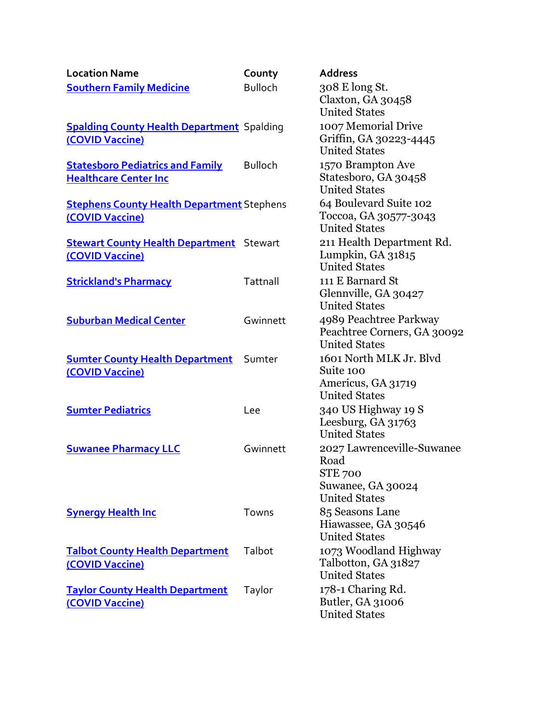| <b>Location Name</b>                                                    | County         | <b>Address</b>                                                                                    |
|-------------------------------------------------------------------------|----------------|---------------------------------------------------------------------------------------------------|
| <b>Southern Family Medicine</b>                                         | <b>Bulloch</b> | 308 E long St.<br>Claxton, GA 30458<br><b>United States</b>                                       |
| <b>Spalding County Health Department Spalding</b><br>(COVID Vaccine)    |                | 1007 Memorial Drive<br>Griffin, GA 30223-4445<br><b>United States</b>                             |
| <b>Statesboro Pediatrics and Family</b><br><b>Healthcare Center Inc</b> | <b>Bulloch</b> | 1570 Brampton Ave<br>Statesboro, GA 30458<br><b>United States</b>                                 |
| <b>Stephens County Health Department Stephens</b><br>(COVID Vaccine)    |                | 64 Boulevard Suite 102<br>Toccoa, GA 30577-3043<br><b>United States</b>                           |
| <b>Stewart County Health Department</b> Stewart<br>(COVID Vaccine)      |                | 211 Health Department Rd.<br>Lumpkin, GA 31815<br><b>United States</b>                            |
| <b>Strickland's Pharmacy</b>                                            | Tattnall       | 111 E Barnard St<br>Glennville, GA 30427<br><b>United States</b>                                  |
| <b>Suburban Medical Center</b>                                          | Gwinnett       | 4989 Peachtree Parkway<br>Peachtree Corners, GA 30092<br><b>United States</b>                     |
| <b>Sumter County Health Department</b><br>(COVID Vaccine)               | Sumter         | 1601 North MLK Jr. Blvd<br>Suite 100<br>Americus, GA 31719<br><b>United States</b>                |
| <b>Sumter Pediatrics</b>                                                | Lee            | 340 US Highway 19 S<br>Leesburg, GA 31763<br><b>United States</b>                                 |
| <b>Suwanee Pharmacy LLC</b>                                             | Gwinnett       | 2027 Lawrenceville-Suwanee<br>Road<br><b>STE 700</b><br>Suwanee, GA 30024<br><b>United States</b> |
| <b>Synergy Health Inc</b>                                               | Towns          | 85 Seasons Lane<br>Hiawassee, GA 30546<br><b>United States</b>                                    |
| <b>Talbot County Health Department</b><br>(COVID Vaccine)               | Talbot         | 1073 Woodland Highway<br>Talbotton, GA 31827<br><b>United States</b>                              |
| <b>Taylor County Health Department</b><br>(COVID Vaccine)               | Taylor         | 178-1 Charing Rd.<br>Butler, GA 31006<br><b>United States</b>                                     |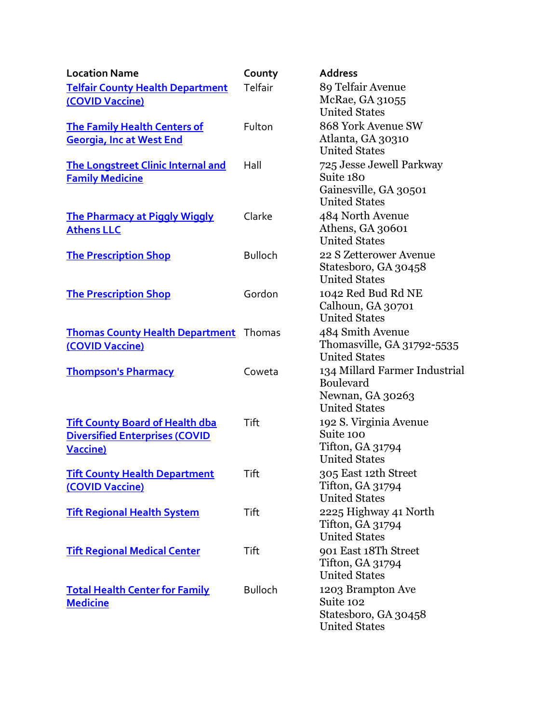| <b>Location Name</b>                          | County         | <b>Address</b>                             |
|-----------------------------------------------|----------------|--------------------------------------------|
| <b>Telfair County Health Department</b>       | Telfair        | 89 Telfair Avenue                          |
| (COVID Vaccine)                               |                | McRae, GA 31055                            |
|                                               |                | <b>United States</b>                       |
| <b>The Family Health Centers of</b>           | Fulton         | 868 York Avenue SW                         |
| <b>Georgia, Inc at West End</b>               |                | Atlanta, GA 30310                          |
|                                               |                | <b>United States</b>                       |
| <b>The Longstreet Clinic Internal and</b>     | Hall           | 725 Jesse Jewell Parkway                   |
| <b>Family Medicine</b>                        |                | Suite 180<br>Gainesville, GA 30501         |
|                                               |                | <b>United States</b>                       |
| <b>The Pharmacy at Piggly Wiggly</b>          | Clarke         | 484 North Avenue                           |
| <b>Athens LLC</b>                             |                | Athens, GA 30601                           |
|                                               |                | <b>United States</b>                       |
| <b>The Prescription Shop</b>                  | <b>Bulloch</b> | 22 S Zetterower Avenue                     |
|                                               |                | Statesboro, GA 30458                       |
|                                               |                | <b>United States</b>                       |
| <b>The Prescription Shop</b>                  | Gordon         | 1042 Red Bud Rd NE                         |
|                                               |                | Calhoun, GA 30701                          |
|                                               |                | <b>United States</b>                       |
| <b>Thomas County Health Department</b> Thomas |                | 484 Smith Avenue                           |
| (COVID Vaccine)                               |                | Thomasville, GA 31792-5535                 |
|                                               |                | <b>United States</b>                       |
| <b>Thompson's Pharmacy</b>                    | Coweta         | 134 Millard Farmer Industrial<br>Boulevard |
|                                               |                | Newnan, GA 30263                           |
|                                               |                | <b>United States</b>                       |
| <b>Tift County Board of Health dba</b>        | Tift           | 192 S. Virginia Avenue                     |
| <b>Diversified Enterprises (COVID</b>         |                | Suite 100                                  |
| Vaccine)                                      |                | <b>Tifton, GA 31794</b>                    |
|                                               |                | <b>United States</b>                       |
| <b>Tift County Health Department</b>          | Tift           | 305 East 12th Street                       |
| (COVID Vaccine)                               |                | Tifton, GA 31794                           |
|                                               |                | <b>United States</b>                       |
| <b>Tift Regional Health System</b>            | Tift           | 2225 Highway 41 North                      |
|                                               |                | Tifton, GA 31794<br><b>United States</b>   |
|                                               |                | 901 East 18Th Street                       |
| <b>Tift Regional Medical Center</b>           | Tift           | Tifton, GA 31794                           |
|                                               |                | <b>United States</b>                       |
| <b>Total Health Center for Family</b>         | <b>Bulloch</b> | 1203 Brampton Ave                          |
| <b>Medicine</b>                               |                | Suite 102                                  |
|                                               |                | Statesboro, GA 30458                       |
|                                               |                | <b>United States</b>                       |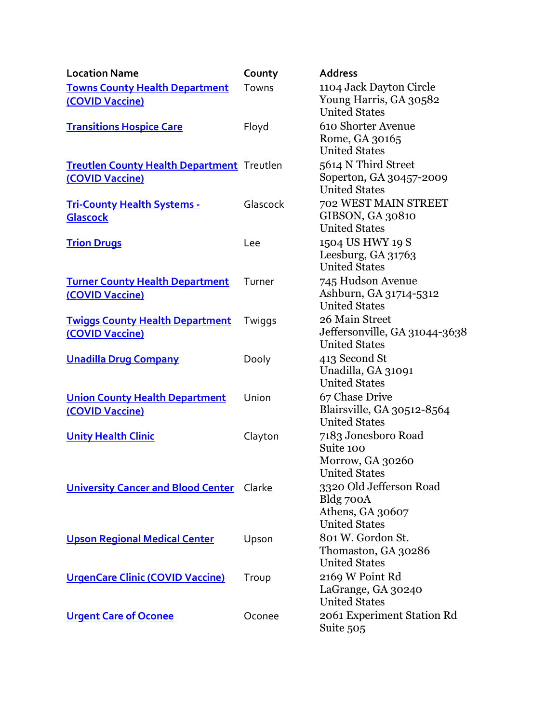| <b>Location Name</b>                                                 | County   | <b>Address</b>                                                                   |
|----------------------------------------------------------------------|----------|----------------------------------------------------------------------------------|
| <b>Towns County Health Department</b><br>(COVID Vaccine)             | Towns    | 1104 Jack Dayton Circle<br>Young Harris, GA 30582<br><b>United States</b>        |
| <b>Transitions Hospice Care</b>                                      | Floyd    | 610 Shorter Avenue<br>Rome, GA 30165<br><b>United States</b>                     |
| <b>Treutlen County Health Department</b> Treutlen<br>(COVID Vaccine) |          | 5614 N Third Street<br>Soperton, GA 30457-2009<br><b>United States</b>           |
| <b>Tri-County Health Systems -</b><br>Glascock                       | Glascock | 702 WEST MAIN STREET<br>GIBSON, GA 30810<br><b>United States</b>                 |
| <b>Trion Drugs</b>                                                   | Lee      | 1504 US HWY 19 S<br>Leesburg, $GA$ 31763<br><b>United States</b>                 |
| <b>Turner County Health Department</b><br>(COVID Vaccine)            | Turner   | 745 Hudson Avenue<br>Ashburn, GA 31714-5312<br><b>United States</b>              |
| <b>Twiggs County Health Department</b><br>(COVID Vaccine)            | Twiggs   | 26 Main Street<br>Jeffersonville, GA 31044-3638<br><b>United States</b>          |
| <b>Unadilla Drug Company</b>                                         | Dooly    | 413 Second St<br>Unadilla, GA 31091<br><b>United States</b>                      |
| <b>Union County Health Department</b><br>(COVID Vaccine)             | Union    | 67 Chase Drive<br>Blairsville, GA 30512-8564<br><b>United States</b>             |
| <b>Unity Health Clinic</b>                                           | Clayton  | 7183 Jonesboro Road<br>Suite 100<br>Morrow, GA 30260<br><b>United States</b>     |
| <b>University Cancer and Blood Center</b>                            | Clarke   | 3320 Old Jefferson Road<br>Bldg 700A<br>Athens, GA 30607<br><b>United States</b> |
| <b>Upson Regional Medical Center</b>                                 | Upson    | 801 W. Gordon St.<br>Thomaston, GA 30286<br><b>United States</b>                 |
| <b>UrgenCare Clinic (COVID Vaccine)</b>                              | Troup    | 2169 W Point Rd<br>LaGrange, GA 30240<br><b>United States</b>                    |
| <b>Urgent Care of Oconee</b>                                         | Oconee   | 2061 Experiment Station Rd<br>Suite 505                                          |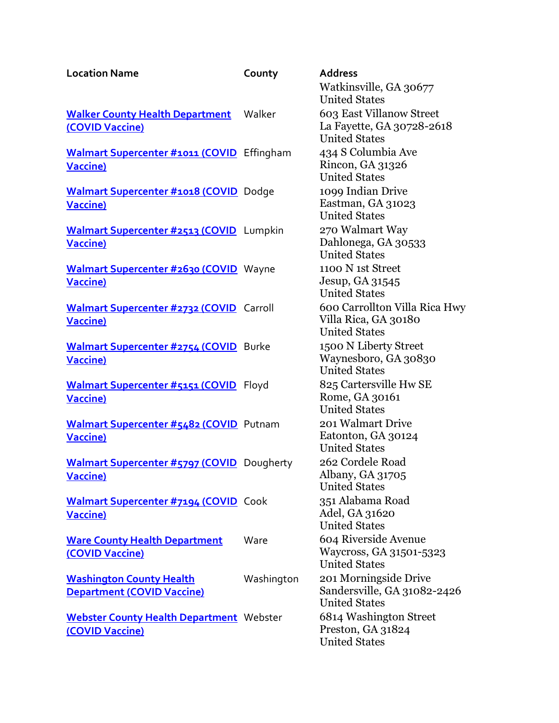| <b>Location Name</b>                                             | County     | <b>Address</b>                                      |
|------------------------------------------------------------------|------------|-----------------------------------------------------|
|                                                                  |            | Watkinsville, GA 30677<br><b>United States</b>      |
| <b>Walker County Health Department</b>                           | Walker     | 603 East Villanow Street                            |
| (COVID Vaccine)                                                  |            | La Fayette, GA 30728-2618<br><b>United States</b>   |
| <b>Walmart Supercenter #1011 (COVID</b> Effingham                |            | 434 S Columbia Ave                                  |
| <b>Vaccine)</b>                                                  |            | Rincon, GA 31326<br><b>United States</b>            |
| Walmart Supercenter #1018 (COVID Dodge                           |            | 1099 Indian Drive                                   |
| <b>Vaccine)</b>                                                  |            | Eastman, GA 31023<br><b>United States</b>           |
| Walmart Supercenter #2513 (COVID Lumpkin                         |            | 270 Walmart Way                                     |
| <b>Vaccine)</b>                                                  |            | Dahlonega, GA 30533<br><b>United States</b>         |
| Walmart Supercenter #2630 (COVID Wayne                           |            | 1100 N 1st Street                                   |
| <b>Vaccine)</b>                                                  |            | Jesup, GA 31545<br><b>United States</b>             |
| Walmart Supercenter #2732 (COVID Carroll                         |            | 600 Carrollton Villa Rica Hwy                       |
| <b>Vaccine)</b>                                                  |            | Villa Rica, GA 30180                                |
|                                                                  |            | <b>United States</b><br>1500 N Liberty Street       |
| <b>Walmart Supercenter #2754 (COVID</b> Burke<br><b>Vaccine)</b> |            | Waynesboro, GA 30830                                |
|                                                                  |            | <b>United States</b>                                |
| Walmart Supercenter #5151 (COVID Floyd                           |            | 825 Cartersville Hw SE                              |
| <b>Vaccine)</b>                                                  |            | Rome, GA 30161<br><b>United States</b>              |
| Walmart Supercenter #5482 (COVID Putnam                          |            | 201 Walmart Drive                                   |
| <b>Vaccine)</b>                                                  |            | Eatonton, GA 30124<br><b>United States</b>          |
| <b>Walmart Supercenter #5797 (COVID</b> Dougherty                |            | 262 Cordele Road                                    |
| <b>Vaccine)</b>                                                  |            | Albany, GA 31705                                    |
|                                                                  |            | <b>United States</b>                                |
| <b>Walmart Supercenter #7194 (COVID</b> Cook<br><b>Vaccine)</b>  |            | 351 Alabama Road<br>Adel, GA 31620                  |
|                                                                  |            | <b>United States</b>                                |
| <b>Ware County Health Department</b>                             | Ware       | 604 Riverside Avenue                                |
| (COVID Vaccine)                                                  |            | Waycross, GA 31501-5323<br><b>United States</b>     |
| <b>Washington County Health</b>                                  | Washington | 201 Morningside Drive                               |
| <b>Department (COVID Vaccine)</b>                                |            | Sandersville, GA 31082-2426<br><b>United States</b> |
| Webster County Health Department Webster                         |            | 6814 Washington Street                              |
| (COVID Vaccine)                                                  |            | Preston, GA 31824<br><b>United States</b>           |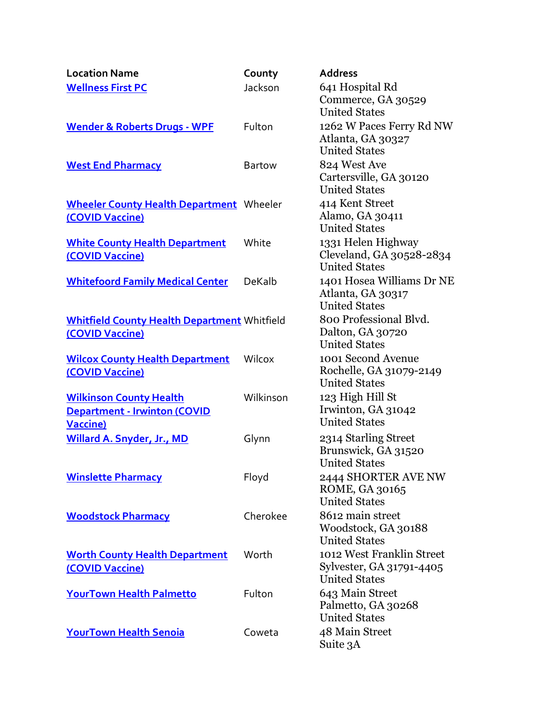| <b>Location Name</b>                                                                      | County        | <b>Address</b>                                                                |
|-------------------------------------------------------------------------------------------|---------------|-------------------------------------------------------------------------------|
| <b>Wellness First PC</b>                                                                  | Jackson       | 641 Hospital Rd<br>Commerce, GA 30529<br><b>United States</b>                 |
| <b>Wender &amp; Roberts Drugs - WPF</b>                                                   | Fulton        | 1262 W Paces Ferry Rd NW<br>Atlanta, GA 30327<br><b>United States</b>         |
| <b>West End Pharmacy</b>                                                                  | <b>Bartow</b> | 824 West Ave<br>Cartersville, GA 30120<br><b>United States</b>                |
| <b>Wheeler County Health Department</b> Wheeler<br>(COVID Vaccine)                        |               | 414 Kent Street<br>Alamo, GA 30411<br><b>United States</b>                    |
| <b>White County Health Department</b><br>(COVID Vaccine)                                  | White         | 1331 Helen Highway<br>Cleveland, GA 30528-2834<br><b>United States</b>        |
| <b>Whitefoord Family Medical Center</b>                                                   | DeKalb        | 1401 Hosea Williams Dr NE<br>Atlanta, GA 30317<br><b>United States</b>        |
| <b>Whitfield County Health Department Whitfield</b><br>(COVID Vaccine)                    |               | 800 Professional Blvd.<br>Dalton, GA 30720<br><b>United States</b>            |
| <b>Wilcox County Health Department</b><br>(COVID Vaccine)                                 | Wilcox        | 1001 Second Avenue<br>Rochelle, GA 31079-2149<br><b>United States</b>         |
| <b>Wilkinson County Health</b><br><b>Department - Irwinton (COVID</b><br><b>Vaccine</b> ) | Wilkinson     | 123 High Hill St<br>Irwinton, GA 31042<br><b>United States</b>                |
| Willard A. Snyder, Jr., MD                                                                | Glynn         | 2314 Starling Street<br>Brunswick, GA 31520<br><b>United States</b>           |
| <b>Winslette Pharmacy</b>                                                                 | Floyd         | 2444 SHORTER AVE NW<br>ROME, GA 30165<br><b>United States</b>                 |
| <b>Woodstock Pharmacy</b>                                                                 | Cherokee      | 8612 main street<br>Woodstock, GA 30188<br><b>United States</b>               |
| <b>Worth County Health Department</b><br>(COVID Vaccine)                                  | Worth         | 1012 West Franklin Street<br>Sylvester, GA 31791-4405<br><b>United States</b> |
| YourTown Health Palmetto                                                                  | Fulton        | 643 Main Street<br>Palmetto, GA 30268<br><b>United States</b>                 |
| <b>YourTown Health Senoia</b>                                                             | Coweta        | 48 Main Street<br>Suite 3A                                                    |